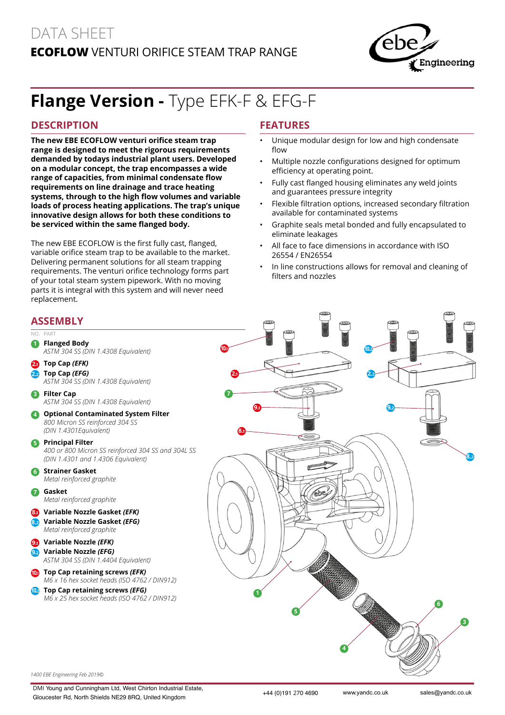# DATA SHEET **EcoFlow** Venturi Orifice Steam Trap Range



# **Flange Version -** Type EFK-F & EFG-F

#### **DESCRIPTION**

**The new EBE ECOFLOW venturi orifice steam trap range is designed to meet the rigorous requirements demanded by todays industrial plant users. Developed on a modular concept, the trap encompasses a wide range of capacities, from minimal condensate flow requirements on line drainage and trace heating systems, through to the high flow volumes and variable loads of process heating applications. The trap's unique innovative design allows for both these conditions to be serviced within the same flanged body.**

The new EBE ECOFLOW is the first fully cast, flanged, variable orifice steam trap to be available to the market. Delivering permanent solutions for all steam trapping requirements. The venturi orifice technology forms part of your total steam system pipework. With no moving parts it is integral with this system and will never need replacement.

### **Features**

- Unique modular design for low and high condensate flow
- Multiple nozzle configurations designed for optimum efficiency at operating point.
- Fully cast flanged housing eliminates any weld joints and guarantees pressure integrity
- Flexible filtration options, increased secondary filtration available for contaminated systems
- Graphite seals metal bonded and fully encapsulated to eliminate leakages
- All face to face dimensions in accordance with ISO 26554 / EN26554
- In line constructions allows for removal and cleaning of filters and nozzles

#### **Assembly**

#### $N<sub>O</sub>$ **1 Flanged Body**  *ASTM 304 SS (DIN 1.4308 Equivalent)* **2.<sup>1</sup> Top Cap** *(EFK)*  **2.<sup>2</sup> Top Cap** *(EFG) ASTM 304 SS (DIN 1.4308 Equivalent)* **3 Filter Cap**  *ASTM 304 SS (DIN 1.4308 Equivalent)* **4 Optional Contaminated System Filter**  *800 Micron SS reinforced 304 SS (DIN 1.4301Equivalent)* **5 Principal Filter**  *400 or 800 Micron SS reinforced 304 SS and 304L SS (DIN 1.4301 and 1.4306 Equivalent)* **6 Strainer Gasket**  *Metal reinforced graphite* **7 Gasket**  *Metal reinforced graphite* **8.<sup>1</sup> Variable Nozzle Gasket** *(EFK)* **8.<sup>2</sup> Variable Nozzle Gasket** *(EFG) Metal reinforced graphite* **9.<sup>1</sup> Variable Nozzle** *(EFK)* **9.<sup>2</sup> Variable Nozzle** *(EFG) ASTM 304 SS (DIN 1.4404 Equivalent)* **10.<sup>1</sup> Top Cap retaining screws** *(EFK) M6 x 16 hex socket heads (ISO 4762 / DIN912)* **10.<sup>2</sup> Top Cap retaining screws** *(EFG) M6 x 25 hex socket heads (ISO 4762 / DIN912)* **8.1 7 1**



*1400 EBE Engineering Feb 2019©*